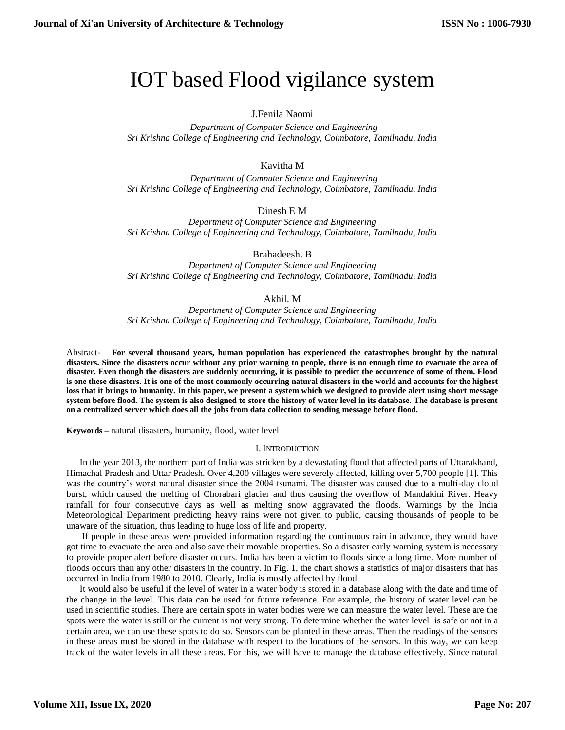# IOT based Flood vigilance system

# J.Fenila Naomi

 *Department of Computer Science and Engineering Sri Krishna College of Engineering and Technology, Coimbatore, Tamilnadu, India*

# Kavitha M

 *Department of Computer Science and Engineering Sri Krishna College of Engineering and Technology, Coimbatore, Tamilnadu, India*

Dinesh E M

*Department of Computer Science and Engineering Sri Krishna College of Engineering and Technology, Coimbatore, Tamilnadu, India*

Brahadeesh. B

*Department of Computer Science and Engineering Sri Krishna College of Engineering and Technology, Coimbatore, Tamilnadu, India*

## Akhil. M

*Department of Computer Science and Engineering Sri Krishna College of Engineering and Technology, Coimbatore, Tamilnadu, India*

Abstract- **For several thousand years, human population has experienced the catastrophes brought by the natural disasters. Since the disasters occur without any prior warning to people, there is no enough time to evacuate the area of disaster. Even though the disasters are suddenly occurring, it is possible to predict the occurrence of some of them. Flood is one these disasters. It is one of the most commonly occurring natural disasters in the world and accounts for the highest loss that it brings to humanity. In this paper, we present a system which we designed to provide alert using short message system before flood. The system is also designed to store the history of water level in its database. The database is present on a centralized server which does all the jobs from data collection to sending message before flood.**

**Keywords –** natural disasters, humanity, flood, water level

## I. INTRODUCTION

In the year 2013, the northern part of India was stricken by a devastating flood that affected parts of Uttarakhand, Himachal Pradesh and Uttar Pradesh. Over 4,200 villages were severely affected, killing over 5,700 people [1]. This was the country's worst natural disaster since the 2004 tsunami. The disaster was caused due to a multi-day cloud burst, which caused the melting of Chorabari glacier and thus causing the overflow of Mandakini River. Heavy rainfall for four consecutive days as well as melting snow aggravated the floods. Warnings by the India Meteorological Department predicting heavy rains were not given to public, causing thousands of people to be unaware of the situation, thus leading to huge loss of life and property.

If people in these areas were provided information regarding the continuous rain in advance, they would have got time to evacuate the area and also save their movable properties. So a disaster early warning system is necessary to provide proper alert before disaster occurs. India has been a victim to floods since a long time. More number of floods occurs than any other disasters in the country. In Fig. 1, the chart shows a statistics of major disasters that has occurred in India from 1980 to 2010. Clearly, India is mostly affected by flood.

It would also be useful if the level of water in a water body is stored in a database along with the date and time of the change in the level. This data can be used for future reference. For example, the history of water level can be used in scientific studies. There are certain spots in water bodies were we can measure the water level. These are the spots were the water is still or the current is not very strong. To determine whether the water level is safe or not in a certain area, we can use these spots to do so. Sensors can be planted in these areas. Then the readings of the sensors in these areas must be stored in the database with respect to the locations of the sensors. In this way, we can keep track of the water levels in all these areas. For this, we will have to manage the database effectively. Since natural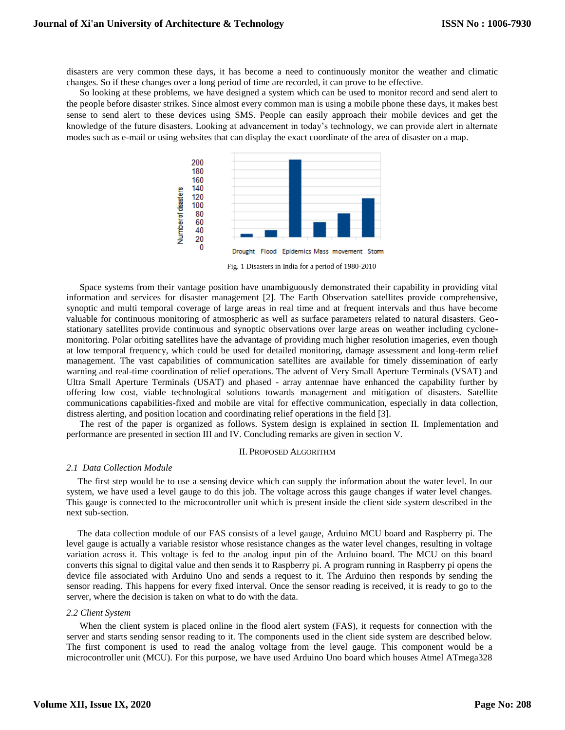disasters are very common these days, it has become a need to continuously monitor the weather and climatic changes. So if these changes over a long period of time are recorded, it can prove to be effective.

So looking at these problems, we have designed a system which can be used to monitor record and send alert to the people before disaster strikes. Since almost every common man is using a mobile phone these days, it makes best sense to send alert to these devices using SMS. People can easily approach their mobile devices and get the knowledge of the future disasters. Looking at advancement in today's technology, we can provide alert in alternate modes such as e-mail or using websites that can display the exact coordinate of the area of disaster on a map.



Fig. 1 Disasters in India for a period of 1980-2010

Space systems from their vantage position have unambiguously demonstrated their capability in providing vital information and services for disaster management [2]. The Earth Observation satellites provide comprehensive, synoptic and multi temporal coverage of large areas in real time and at frequent intervals and thus have become valuable for continuous monitoring of atmospheric as well as surface parameters related to natural disasters. Geostationary satellites provide continuous and synoptic observations over large areas on weather including cyclonemonitoring. Polar orbiting satellites have the advantage of providing much higher resolution imageries, even though at low temporal frequency, which could be used for detailed monitoring, damage assessment and long-term relief management. The vast capabilities of communication satellites are available for timely dissemination of early warning and real-time coordination of relief operations. The advent of Very Small Aperture Terminals (VSAT) and Ultra Small Aperture Terminals (USAT) and phased - array antennae have enhanced the capability further by offering low cost, viable technological solutions towards management and mitigation of disasters. Satellite communications capabilities-fixed and mobile are vital for effective communication, especially in data collection, distress alerting, and position location and coordinating relief operations in the field [3].

The rest of the paper is organized as follows. System design is explained in section II. Implementation and performance are presented in section III and IV. Concluding remarks are given in section V.

#### II. PROPOSED ALGORITHM

#### *2.1 Data Collection Module*

The first step would be to use a sensing device which can supply the information about the water level. In our system, we have used a level gauge to do this job. The voltage across this gauge changes if water level changes. This gauge is connected to the microcontroller unit which is present inside the client side system described in the next sub-section.

The data collection module of our FAS consists of a level gauge, Arduino MCU board and Raspberry pi. The level gauge is actually a variable resistor whose resistance changes as the water level changes, resulting in voltage variation across it. This voltage is fed to the analog input pin of the Arduino board. The MCU on this board converts this signal to digital value and then sends it to Raspberry pi. A program running in Raspberry pi opens the device file associated with Arduino Uno and sends a request to it. The Arduino then responds by sending the sensor reading. This happens for every fixed interval. Once the sensor reading is received, it is ready to go to the server, where the decision is taken on what to do with the data.

## *2.2 Client System*

When the client system is placed online in the flood alert system (FAS), it requests for connection with the server and starts sending sensor reading to it. The components used in the client side system are described below. The first component is used to read the analog voltage from the level gauge. This component would be a microcontroller unit (MCU). For this purpose, we have used Arduino Uno board which houses Atmel ATmega328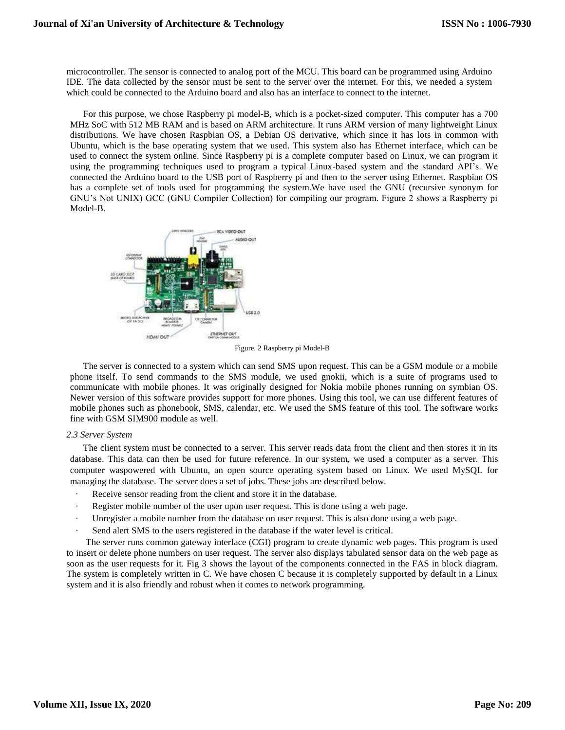microcontroller. The sensor is connected to analog port of the MCU. This board can be programmed using Arduino IDE. The data collected by the sensor must be sent to the server over the internet. For this, we needed a system which could be connected to the Arduino board and also has an interface to connect to the internet.

For this purpose, we chose Raspberry pi model-B, which is a pocket-sized computer. This computer has a 700 MHz SoC with 512 MB RAM and is based on ARM architecture. It runs ARM version of many lightweight Linux distributions. We have chosen Raspbian OS, a Debian OS derivative, which since it has lots in common with Ubuntu, which is the base operating system that we used. This system also has Ethernet interface, which can be used to connect the system online. Since Raspberry pi is a complete computer based on Linux, we can program it using the programming techniques used to program a typical Linux-based system and the standard API's. We connected the Arduino board to the USB port of Raspberry pi and then to the server using Ethernet. Raspbian OS has a complete set of tools used for programming the system.We have used the GNU (recursive synonym for GNU's Not UNIX) GCC (GNU Compiler Collection) for compiling our program. Figure 2 shows a Raspberry pi Model-B.



Figure. 2 Raspberry pi Model-B

The server is connected to a system which can send SMS upon request. This can be a GSM module or a mobile phone itself. To send commands to the SMS module, we used gnokii, which is a suite of programs used to communicate with mobile phones. It was originally designed for Nokia mobile phones running on symbian OS. Newer version of this software provides support for more phones. Using this tool, we can use different features of mobile phones such as phonebook, SMS, calendar, etc. We used the SMS feature of this tool. The software works fine with GSM SIM900 module as well.

## *2.3 Server System*

The client system must be connected to a server. This server reads data from the client and then stores it in its database. This data can then be used for future reference. In our system, we used a computer as a server. This computer waspowered with Ubuntu, an open source operating system based on Linux. We used MySQL for managing the database. The server does a set of jobs. These jobs are described below.

- Receive sensor reading from the client and store it in the database.
- Register mobile number of the user upon user request. This is done using a web page.
- Unregister a mobile number from the database on user request. This is also done using a web page.
- Send alert SMS to the users registered in the database if the water level is critical.

The server runs common gateway interface (CGI) program to create dynamic web pages. This program is used to insert or delete phone numbers on user request. The server also displays tabulated sensor data on the web page as soon as the user requests for it. Fig 3 shows the layout of the components connected in the FAS in block diagram. The system is completely written in C. We have chosen C because it is completely supported by default in a Linux system and it is also friendly and robust when it comes to network programming.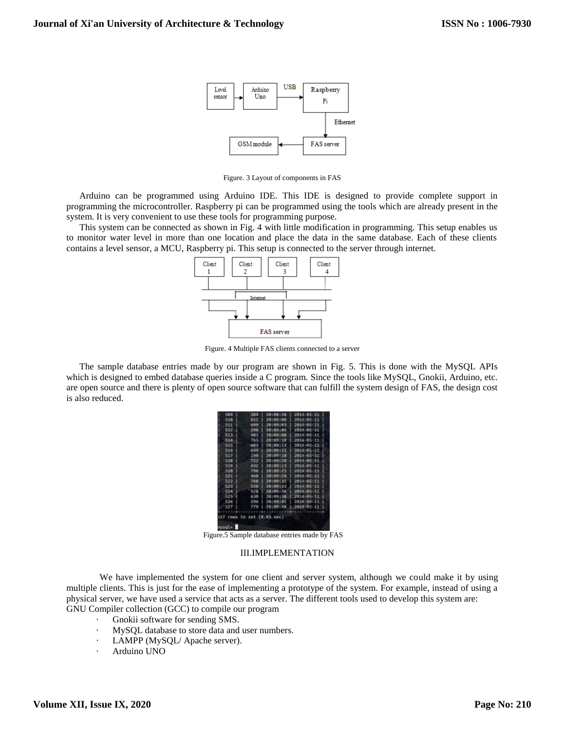

Figure. 3 Layout of components in FAS

Arduino can be programmed using Arduino IDE. This IDE is designed to provide complete support in programming the microcontroller. Raspberry pi can be programmed using the tools which are already present in the system. It is very convenient to use these tools for programming purpose.

This system can be connected as shown in Fig. 4 with little modification in programming. This setup enables us to monitor water level in more than one location and place the data in the same database. Each of these clients contains a level sensor, a MCU, Raspberry pi. This setup is connected to the server through internet.



Figure. 4 Multiple FAS clients connected to a server

The sample database entries made by our program are shown in Fig. 5. This is done with the MySQL APIs which is designed to embed database queries inside a C program. Since the tools like MySQL, Gnokii, Arduino, etc. are open source and there is plenty of open source software that can fulfill the system design of FAS, the design cost is also reduced.

| 589   | 389                    | 26100158       | 2014-85-11                  |
|-------|------------------------|----------------|-----------------------------|
| 518   | 612                    | 1.20:09:00.1   | 2014-05-11                  |
| 511   | 699                    | 28109103       | 2014-05-11                  |
| 532   | 29 <sub>ft</sub>       | 28:09:03       | 2014-55-11                  |
| 513   | 481                    | 1.26:09:08.1   | 2014-05-11                  |
| 514   | 765                    | 281091181      | 1-2014-05-11                |
| 535   | 683                    | 28:09:11       | 2014-85-11                  |
| 516   | 499                    | 20109115       | 2014-05-11                  |
| 517   | 299.                   | 28109118       | 2014-05-11                  |
| 538   | $722^{\circ}$          | 20:09:20       | 2014-65-11                  |
| 519   | 432                    | 1 28:09:23     | 2014-05-11                  |
| 528   | 796                    | 1.20109125     | 2014-05-11<br>٠             |
| 522   | $400 -$                | 1 20:00:28 1   | 3864-85-11                  |
| 522   |                        |                | 768   28:09:31   2014-05-11 |
| 4.2.3 |                        | 558   28100133 | 2014-85-11<br>в             |
| 524   | 328                    | 70:09:36       | 2014-05-11<br>ĸ             |
| 525   | 638                    | 1.28:09:38.    | 2014-05-11                  |
| 526   | 2.95                   | 28109141       | 2014-55-11                  |
| 527   | 770                    | 76:09:48       | 2016-05-11                  |
|       |                        |                |                             |
|       | TOWN In Set (8.83 SHE) |                |                             |
|       |                        |                |                             |

Figure.5 Sample database entries made by FAS

## III.IMPLEMENTATION

We have implemented the system for one client and server system, although we could make it by using multiple clients. This is just for the ease of implementing a prototype of the system. For example, instead of using a physical server, we have used a service that acts as a server. The different tools used to develop this system are: GNU Compiler collection (GCC) to compile our program

- · Gnokii software for sending SMS.
- MySQL database to store data and user numbers.
- LAMPP (MySQL/ Apache server).
- Arduino UNO